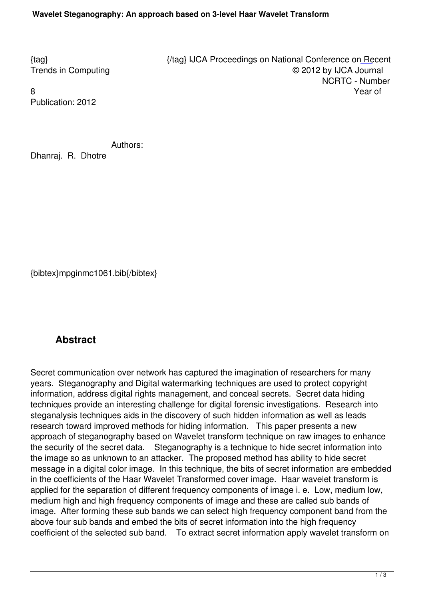Publication: 2012

Authors:

Dhanraj. R. Dhotre

{bibtex}mpginmc1061.bib{/bibtex}

## **Abstract**

Secret communication over network has captured the imagination of researchers for many years. Steganography and Digital watermarking techniques are used to protect copyright information, address digital rights management, and conceal secrets. Secret data hiding techniques provide an interesting challenge for digital forensic investigations. Research into steganalysis techniques aids in the discovery of such hidden information as well as leads research toward improved methods for hiding information. This paper presents a new approach of steganography based on Wavelet transform technique on raw images to enhance the security of the secret data. Steganography is a technique to hide secret information into the image so as unknown to an attacker. The proposed method has ability to hide secret message in a digital color image. In this technique, the bits of secret information are embedded in the coefficients of the Haar Wavelet Transformed cover image. Haar wavelet transform is applied for the separation of different frequency components of image i. e. Low, medium low, medium high and high frequency components of image and these are called sub bands of image. After forming these sub bands we can select high frequency component band from the above four sub bands and embed the bits of secret information into the high frequency coefficient of the selected sub band. To extract secret information apply wavelet transform on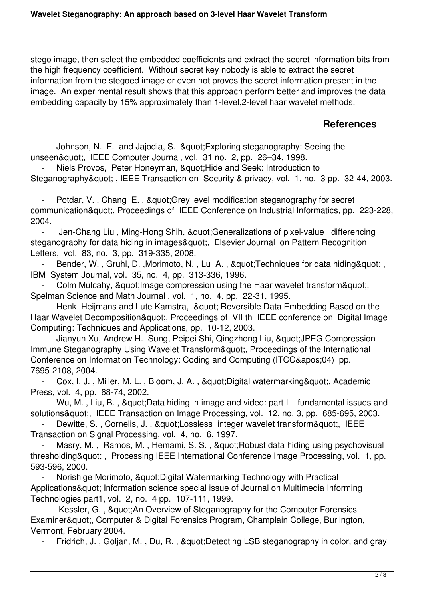stego image, then select the embedded coefficients and extract the secret information bits from the high frequency coefficient. Without secret key nobody is able to extract the secret information from the stegoed image or even not proves the secret information present in the image. An experimental result shows that this approach perform better and improves the data embedding capacity by 15% approximately than 1-level,2-level haar wavelet methods.

## **References**

Johnson, N. F. and Jajodia, S. & quot; Exploring steganography: Seeing the unseen", IEEE Computer Journal, vol. 31 no. 2, pp. 26–34, 1998.

Niels Provos, Peter Honeyman, & au ot: Hide and Seek: Introduction to Steganography", IEEE Transaction on Security & privacy, vol. 1, no. 3 pp. 32-44, 2003.

Potdar, V., Chang E., & Guot: Grey level modification steganography for secret communication", Proceedings of IEEE Conference on Industrial Informatics, pp. 223-228, 2004.

Jen-Chang Liu, Ming-Hong Shih, " Generalizations of pixel-value differencing steganography for data hiding in images", Elsevier Journal on Pattern Recognition Letters, vol. 83, no. 3, pp. 319-335, 2008.

Bender, W., Gruhl, D., Morimoto, N., Lu A., " Techniques for data hiding ", IBM System Journal, vol. 35, no. 4, pp. 313-336, 1996.

Colm Mulcahy, & au ot: Image compression using the Haar wavelet transform & quot:. Spelman Science and Math Journal , vol. 1, no. 4, pp. 22-31, 1995.

Henk Heijmans and Lute Kamstra, & quot; Reversible Data Embedding Based on the Haar Wavelet Decomposition", Proceedings of VII th IEEE conference on Digital Image Computing: Techniques and Applications, pp. 10-12, 2003.

Jianyun Xu, Andrew H. Sung, Peipei Shi, Qingzhong Liu, &quot: JPEG Compression Immune Steganography Using Wayelet Transform&quot:. Proceedings of the International Conference on Information Technology: Coding and Computing (ITCC'04) pp. 7695-2108, 2004.

Cox, I. J., Miller, M. L., Bloom, J. A., & quot; Digital watermarking & quot;, Academic Press, vol. 4, pp. 68-74, 2002.

Wu, M., Liu, B., & quot; Data hiding in image and video: part I – fundamental issues and solutions", IEEE Transaction on Image Processing, vol. 12, no. 3, pp. 685-695, 2003.

Dewitte, S., Cornelis, J., & quot; Lossless integer wavelet transform & quot;, IEEE Transaction on Signal Processing, vol. 4, no. 6, 1997.

Masry, M., Ramos, M., Hemami, S. S., " Robust data hiding using psychovisual thresholding", Processing IEEE International Conference Image Processing, vol. 1, pp. 593-596, 2000.

Norishige Morimoto, & quot; Digital Watermarking Technology with Practical Applications" Information science special issue of Journal on Multimedia Informing Technologies part1, vol. 2, no. 4 pp. 107-111, 1999.

Kessler, G., & auot; An Overview of Steganography for the Computer Forensics Examiner", Computer & Digital Forensics Program, Champlain College, Burlington, Vermont, February 2004.

Fridrich, J., Goljan, M., Du, R., & quot; Detecting LSB steganography in color, and gray